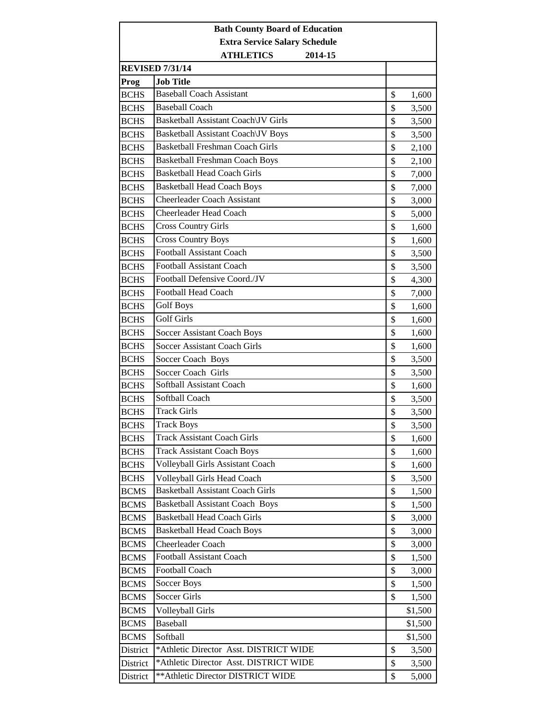| <b>Extra Service Salary Schedule</b><br><b>ATHLETICS</b><br>2014-15<br><b>REVISED 7/31/14</b><br><b>Job Title</b><br>Prog<br><b>Baseball Coach Assistant</b><br><b>BCHS</b><br>\$<br>1,600<br><b>Baseball Coach</b><br><b>BCHS</b><br>\$<br>3,500<br>Basketball Assistant Coach\JV Girls<br>\$<br><b>BCHS</b><br>3,500<br>Basketball Assistant Coach\JV Boys<br><b>BCHS</b><br>\$<br>3,500<br><b>Basketball Freshman Coach Girls</b><br>\$<br><b>BCHS</b><br>2,100<br><b>Basketball Freshman Coach Boys</b><br><b>BCHS</b><br>\$<br>2,100<br><b>Basketball Head Coach Girls</b><br><b>BCHS</b><br>\$<br>7,000<br><b>Basketball Head Coach Boys</b><br><b>BCHS</b><br>\$<br>7,000 | <b>Bath County Board of Education</b> |                                    |    |       |  |
|----------------------------------------------------------------------------------------------------------------------------------------------------------------------------------------------------------------------------------------------------------------------------------------------------------------------------------------------------------------------------------------------------------------------------------------------------------------------------------------------------------------------------------------------------------------------------------------------------------------------------------------------------------------------------------|---------------------------------------|------------------------------------|----|-------|--|
|                                                                                                                                                                                                                                                                                                                                                                                                                                                                                                                                                                                                                                                                                  |                                       |                                    |    |       |  |
|                                                                                                                                                                                                                                                                                                                                                                                                                                                                                                                                                                                                                                                                                  |                                       |                                    |    |       |  |
|                                                                                                                                                                                                                                                                                                                                                                                                                                                                                                                                                                                                                                                                                  |                                       |                                    |    |       |  |
|                                                                                                                                                                                                                                                                                                                                                                                                                                                                                                                                                                                                                                                                                  |                                       |                                    |    |       |  |
|                                                                                                                                                                                                                                                                                                                                                                                                                                                                                                                                                                                                                                                                                  |                                       |                                    |    |       |  |
|                                                                                                                                                                                                                                                                                                                                                                                                                                                                                                                                                                                                                                                                                  |                                       |                                    |    |       |  |
|                                                                                                                                                                                                                                                                                                                                                                                                                                                                                                                                                                                                                                                                                  |                                       |                                    |    |       |  |
|                                                                                                                                                                                                                                                                                                                                                                                                                                                                                                                                                                                                                                                                                  |                                       |                                    |    |       |  |
|                                                                                                                                                                                                                                                                                                                                                                                                                                                                                                                                                                                                                                                                                  |                                       |                                    |    |       |  |
|                                                                                                                                                                                                                                                                                                                                                                                                                                                                                                                                                                                                                                                                                  |                                       |                                    |    |       |  |
|                                                                                                                                                                                                                                                                                                                                                                                                                                                                                                                                                                                                                                                                                  |                                       |                                    |    |       |  |
|                                                                                                                                                                                                                                                                                                                                                                                                                                                                                                                                                                                                                                                                                  |                                       |                                    |    |       |  |
|                                                                                                                                                                                                                                                                                                                                                                                                                                                                                                                                                                                                                                                                                  | <b>BCHS</b>                           | <b>Cheerleader Coach Assistant</b> | \$ | 3,000 |  |
| Cheerleader Head Coach<br>\$<br><b>BCHS</b><br>5,000                                                                                                                                                                                                                                                                                                                                                                                                                                                                                                                                                                                                                             |                                       |                                    |    |       |  |
| <b>Cross Country Girls</b><br><b>BCHS</b><br>\$<br>1,600                                                                                                                                                                                                                                                                                                                                                                                                                                                                                                                                                                                                                         |                                       |                                    |    |       |  |
| <b>Cross Country Boys</b><br><b>BCHS</b><br>\$<br>1,600                                                                                                                                                                                                                                                                                                                                                                                                                                                                                                                                                                                                                          |                                       |                                    |    |       |  |
| <b>Football Assistant Coach</b><br><b>BCHS</b><br>\$<br>3,500                                                                                                                                                                                                                                                                                                                                                                                                                                                                                                                                                                                                                    |                                       |                                    |    |       |  |
| <b>Football Assistant Coach</b><br><b>BCHS</b><br>\$<br>3,500                                                                                                                                                                                                                                                                                                                                                                                                                                                                                                                                                                                                                    |                                       |                                    |    |       |  |
| Football Defensive Coord./JV<br><b>BCHS</b><br>\$<br>4,300                                                                                                                                                                                                                                                                                                                                                                                                                                                                                                                                                                                                                       |                                       |                                    |    |       |  |
| <b>Football Head Coach</b><br><b>BCHS</b><br>\$<br>7,000                                                                                                                                                                                                                                                                                                                                                                                                                                                                                                                                                                                                                         |                                       |                                    |    |       |  |
| <b>Golf Boys</b><br>\$<br><b>BCHS</b><br>1,600                                                                                                                                                                                                                                                                                                                                                                                                                                                                                                                                                                                                                                   |                                       |                                    |    |       |  |
| <b>Golf Girls</b><br><b>BCHS</b><br>\$<br>1,600                                                                                                                                                                                                                                                                                                                                                                                                                                                                                                                                                                                                                                  |                                       |                                    |    |       |  |
| \$<br><b>BCHS</b><br><b>Soccer Assistant Coach Boys</b><br>1,600                                                                                                                                                                                                                                                                                                                                                                                                                                                                                                                                                                                                                 |                                       |                                    |    |       |  |
| \$<br><b>BCHS</b><br><b>Soccer Assistant Coach Girls</b><br>1,600                                                                                                                                                                                                                                                                                                                                                                                                                                                                                                                                                                                                                |                                       |                                    |    |       |  |
| <b>BCHS</b><br>Soccer Coach Boys<br>\$<br>3,500                                                                                                                                                                                                                                                                                                                                                                                                                                                                                                                                                                                                                                  |                                       |                                    |    |       |  |
| Soccer Coach Girls<br>\$<br><b>BCHS</b><br>3,500                                                                                                                                                                                                                                                                                                                                                                                                                                                                                                                                                                                                                                 |                                       |                                    |    |       |  |
| Softball Assistant Coach<br><b>BCHS</b><br>\$<br>1,600                                                                                                                                                                                                                                                                                                                                                                                                                                                                                                                                                                                                                           |                                       |                                    |    |       |  |
| Softball Coach<br>\$<br><b>BCHS</b><br>3,500                                                                                                                                                                                                                                                                                                                                                                                                                                                                                                                                                                                                                                     |                                       |                                    |    |       |  |
| <b>Track Girls</b><br>\$<br><b>BCHS</b><br>3,500                                                                                                                                                                                                                                                                                                                                                                                                                                                                                                                                                                                                                                 |                                       |                                    |    |       |  |
| <b>Track Boys</b><br>\$<br><b>BCHS</b><br>3,500                                                                                                                                                                                                                                                                                                                                                                                                                                                                                                                                                                                                                                  |                                       |                                    |    |       |  |
| <b>Track Assistant Coach Girls</b><br><b>BCHS</b><br>\$<br>1,600                                                                                                                                                                                                                                                                                                                                                                                                                                                                                                                                                                                                                 |                                       |                                    |    |       |  |
| <b>Track Assistant Coach Boys</b><br><b>BCHS</b><br>\$<br>1,600                                                                                                                                                                                                                                                                                                                                                                                                                                                                                                                                                                                                                  |                                       |                                    |    |       |  |
| Volleyball Girls Assistant Coach<br>\$<br><b>BCHS</b><br>1,600                                                                                                                                                                                                                                                                                                                                                                                                                                                                                                                                                                                                                   |                                       |                                    |    |       |  |
| <b>BCHS</b><br>\$<br>Volleyball Girls Head Coach<br>3,500                                                                                                                                                                                                                                                                                                                                                                                                                                                                                                                                                                                                                        |                                       |                                    |    |       |  |
| <b>Basketball Assistant Coach Girls</b><br><b>BCMS</b><br>\$<br>1,500                                                                                                                                                                                                                                                                                                                                                                                                                                                                                                                                                                                                            |                                       |                                    |    |       |  |
| <b>Basketball Assistant Coach Boys</b><br>\$<br><b>BCMS</b><br>1,500                                                                                                                                                                                                                                                                                                                                                                                                                                                                                                                                                                                                             |                                       |                                    |    |       |  |
| <b>Basketball Head Coach Girls</b><br><b>BCMS</b><br>\$<br>3,000                                                                                                                                                                                                                                                                                                                                                                                                                                                                                                                                                                                                                 |                                       |                                    |    |       |  |
| <b>Basketball Head Coach Boys</b><br>\$<br><b>BCMS</b><br>3,000                                                                                                                                                                                                                                                                                                                                                                                                                                                                                                                                                                                                                  |                                       |                                    |    |       |  |
| <b>BCMS</b><br>Cheerleader Coach<br>\$<br>3,000                                                                                                                                                                                                                                                                                                                                                                                                                                                                                                                                                                                                                                  |                                       |                                    |    |       |  |
| <b>Football Assistant Coach</b><br>\$<br><b>BCMS</b><br>1,500                                                                                                                                                                                                                                                                                                                                                                                                                                                                                                                                                                                                                    |                                       |                                    |    |       |  |
| Football Coach<br><b>BCMS</b><br>\$<br>3,000                                                                                                                                                                                                                                                                                                                                                                                                                                                                                                                                                                                                                                     |                                       |                                    |    |       |  |
| Soccer Boys<br>\$<br><b>BCMS</b><br>1,500                                                                                                                                                                                                                                                                                                                                                                                                                                                                                                                                                                                                                                        |                                       |                                    |    |       |  |
| <b>Soccer Girls</b><br><b>BCMS</b><br>\$<br>1,500                                                                                                                                                                                                                                                                                                                                                                                                                                                                                                                                                                                                                                |                                       |                                    |    |       |  |
| <b>BCMS</b><br>Volleyball Girls<br>\$1,500                                                                                                                                                                                                                                                                                                                                                                                                                                                                                                                                                                                                                                       |                                       |                                    |    |       |  |
| Baseball<br><b>BCMS</b><br>\$1,500                                                                                                                                                                                                                                                                                                                                                                                                                                                                                                                                                                                                                                               |                                       |                                    |    |       |  |
| <b>BCMS</b><br>Softball<br>\$1,500                                                                                                                                                                                                                                                                                                                                                                                                                                                                                                                                                                                                                                               |                                       |                                    |    |       |  |
| *Athletic Director Asst. DISTRICT WIDE<br>\$<br>District<br>3,500                                                                                                                                                                                                                                                                                                                                                                                                                                                                                                                                                                                                                |                                       |                                    |    |       |  |
| *Athletic Director Asst. DISTRICT WIDE<br>\$<br>District<br>3,500                                                                                                                                                                                                                                                                                                                                                                                                                                                                                                                                                                                                                |                                       |                                    |    |       |  |
| ** Athletic Director DISTRICT WIDE<br>\$<br>District<br>5,000                                                                                                                                                                                                                                                                                                                                                                                                                                                                                                                                                                                                                    |                                       |                                    |    |       |  |